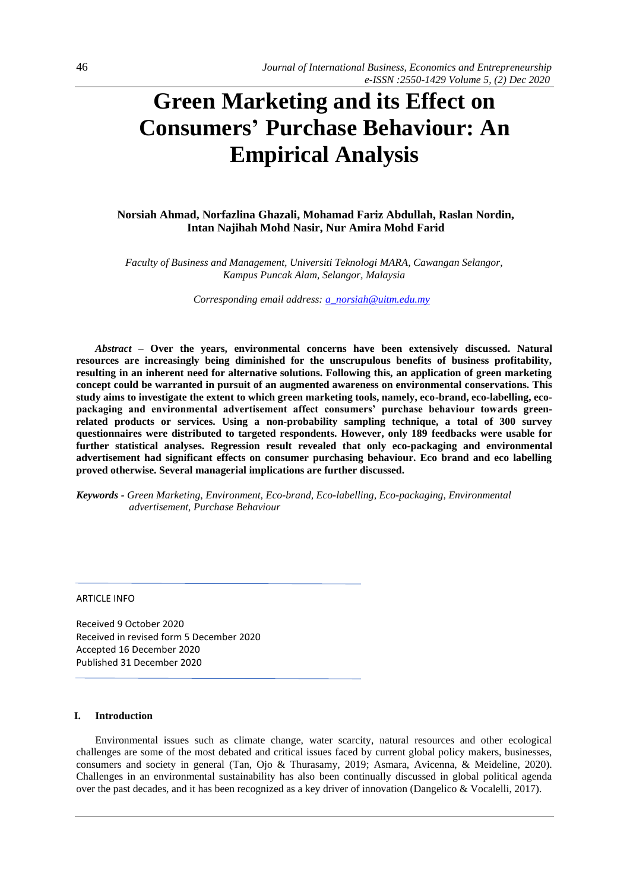# **Green Marketing and its Effect on Consumers' Purchase Behaviour: An Empirical Analysis**

**Norsiah Ahmad, Norfazlina Ghazali, Mohamad Fariz Abdullah, Raslan Nordin, Intan Najihah Mohd Nasir, Nur Amira Mohd Farid**

*Faculty of Business and Management, Universiti Teknologi MARA, Cawangan Selangor, Kampus Puncak Alam, Selangor, Malaysia*

*Corresponding email address[: a\\_norsiah@uitm.edu.my](mailto:a_norsiah@uitm.edu.my)*

*Abstract –* **Over the years, environmental concerns have been extensively discussed. Natural resources are increasingly being diminished for the unscrupulous benefits of business profitability, resulting in an inherent need for alternative solutions. Following this, an application of green marketing concept could be warranted in pursuit of an augmented awareness on environmental conservations. This study aims to investigate the extent to which green marketing tools, namely, eco-brand, eco-labelling, ecopackaging and environmental advertisement affect consumers' purchase behaviour towards greenrelated products or services. Using a non-probability sampling technique, a total of 300 survey questionnaires were distributed to targeted respondents. However, only 189 feedbacks were usable for further statistical analyses. Regression result revealed that only eco-packaging and environmental advertisement had significant effects on consumer purchasing behaviour. Eco brand and eco labelling proved otherwise. Several managerial implications are further discussed.** 

*Keywords - Green Marketing, Environment, Eco-brand, Eco-labelling, Eco-packaging, Environmental advertisement, Purchase Behaviour*

ARTICLE INFO

Received 9 October 2020 Received in revised form 5 December 2020 Accepted 16 December 2020 Published 31 December 2020

# **I. Introduction**

Environmental issues such as climate change, water scarcity, natural resources and other ecological challenges are some of the most debated and critical issues faced by current global policy makers, businesses, consumers and society in general (Tan, Ojo & Thurasamy, 2019; Asmara, Avicenna, & Meideline, 2020). Challenges in an environmental sustainability has also been continually discussed in global political agenda over the past decades, and it has been recognized as a key driver of innovation (Dangelico & Vocalelli, 2017).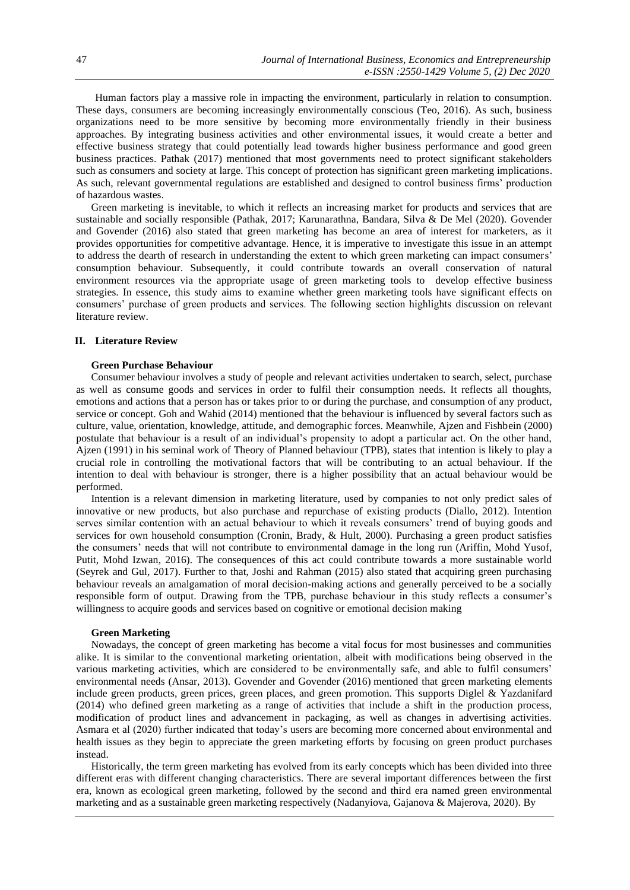Human factors play a massive role in impacting the environment, particularly in relation to consumption. These days, consumers are becoming increasingly environmentally conscious (Teo, 2016). As such, business organizations need to be more sensitive by becoming more environmentally friendly in their business approaches. By integrating business activities and other environmental issues, it would create a better and effective business strategy that could potentially lead towards higher business performance and good green business practices. Pathak (2017) mentioned that most governments need to protect significant stakeholders such as consumers and society at large. This concept of protection has significant green marketing implications. As such, relevant governmental regulations are established and designed to control business firms' production of hazardous wastes.

Green marketing is inevitable, to which it reflects an increasing market for products and services that are sustainable and socially responsible (Pathak, 2017; Karunarathna, Bandara, Silva & De Mel (2020). Govender and Govender (2016) also stated that green marketing has become an area of interest for marketers, as it provides opportunities for competitive advantage. Hence, it is imperative to investigate this issue in an attempt to address the dearth of research in understanding the extent to which green marketing can impact consumers' consumption behaviour. Subsequently, it could contribute towards an overall conservation of natural environment resources via the appropriate usage of green marketing tools to develop effective business strategies. In essence, this study aims to examine whether green marketing tools have significant effects on consumers' purchase of green products and services. The following section highlights discussion on relevant literature review.

### **II. Literature Review**

## **Green Purchase Behaviour**

Consumer behaviour involves a study of people and relevant activities undertaken to search, select, purchase as well as consume goods and services in order to fulfil their consumption needs. It reflects all thoughts, emotions and actions that a person has or takes prior to or during the purchase, and consumption of any product, service or concept. Goh and Wahid (2014) mentioned that the behaviour is influenced by several factors such as culture, value, orientation, knowledge, attitude, and demographic forces. Meanwhile, Ajzen and Fishbein (2000) postulate that behaviour is a result of an individual's propensity to adopt a particular act. On the other hand, Ajzen (1991) in his seminal work of Theory of Planned behaviour (TPB), states that intention is likely to play a crucial role in controlling the motivational factors that will be contributing to an actual behaviour. If the intention to deal with behaviour is stronger, there is a higher possibility that an actual behaviour would be performed.

Intention is a relevant dimension in marketing literature, used by companies to not only predict sales of innovative or new products, but also purchase and repurchase of existing products (Diallo, 2012). Intention serves similar contention with an actual behaviour to which it reveals consumers' trend of buying goods and services for own household consumption (Cronin, Brady, & Hult, 2000). Purchasing a green product satisfies the consumers' needs that will not contribute to environmental damage in the long run (Ariffin, Mohd Yusof, Putit, Mohd Izwan, 2016). The consequences of this act could contribute towards a more sustainable world (Seyrek and Gul, 2017). Further to that, Joshi and Rahman (2015) also stated that acquiring green purchasing behaviour reveals an amalgamation of moral decision-making actions and generally perceived to be a socially responsible form of output. Drawing from the TPB, purchase behaviour in this study reflects a consumer's willingness to acquire goods and services based on cognitive or emotional decision making

## **Green Marketing**

Nowadays, the concept of green marketing has become a vital focus for most businesses and communities alike. It is similar to the conventional marketing orientation, albeit with modifications being observed in the various marketing activities, which are considered to be environmentally safe, and able to fulfil consumers' environmental needs (Ansar, 2013). Govender and Govender (2016) mentioned that green marketing elements include green products, green prices, green places, and green promotion. This supports Diglel & Yazdanifard (2014) who defined green marketing as a range of activities that include a shift in the production process, modification of product lines and advancement in packaging, as well as changes in advertising activities. Asmara et al (2020) further indicated that today's users are becoming more concerned about environmental and health issues as they begin to appreciate the green marketing efforts by focusing on green product purchases instead.

Historically, the term green marketing has evolved from its early concepts which has been divided into three different eras with different changing characteristics. There are several important differences between the first era, known as ecological green marketing, followed by the second and third era named green environmental marketing and as a sustainable green marketing respectively (Nadanyiova, Gajanova & Majerova, 2020). By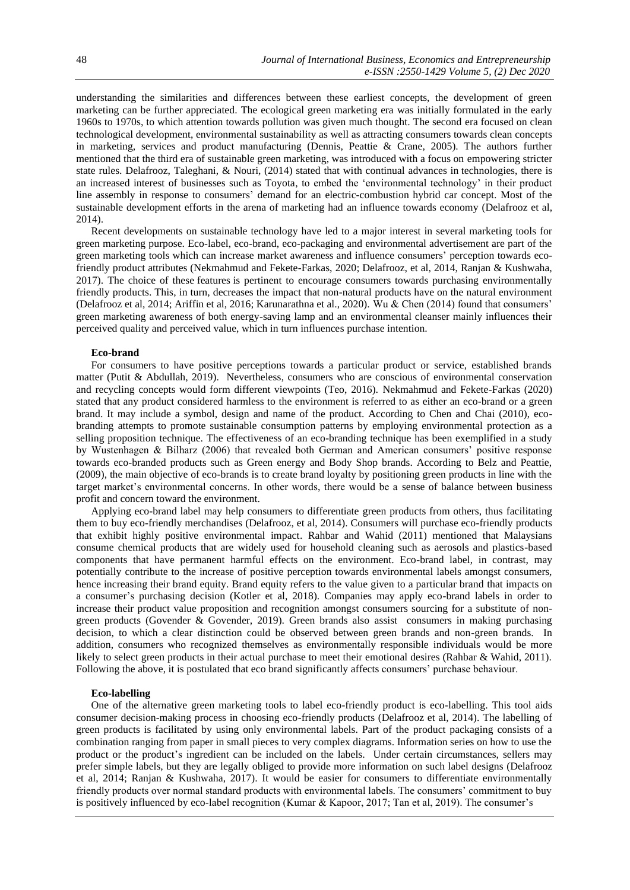understanding the similarities and differences between these earliest concepts, the development of green marketing can be further appreciated. The ecological green marketing era was initially formulated in the early 1960s to 1970s, to which attention towards pollution was given much thought. The second era focused on clean technological development, environmental sustainability as well as attracting consumers towards clean concepts in marketing, services and product manufacturing (Dennis, Peattie & Crane, 2005). The authors further mentioned that the third era of sustainable green marketing, was introduced with a focus on empowering stricter state rules. Delafrooz, Taleghani, & Nouri, (2014) stated that with continual advances in technologies, there is an increased interest of businesses such as Toyota, to embed the 'environmental technology' in their product line assembly in response to consumers' demand for an electric-combustion hybrid car concept. Most of the sustainable development efforts in the arena of marketing had an influence towards economy (Delafrooz et al, 2014).

Recent developments on sustainable technology have led to a major interest in several marketing tools for green marketing purpose. Eco-label, eco-brand, eco-packaging and environmental advertisement are part of the green marketing tools which can increase market awareness and influence consumers' perception towards ecofriendly product attributes (Nekmahmud and Fekete-Farkas, 2020; Delafrooz, et al, 2014, Ranjan & Kushwaha, 2017). The choice of these features is pertinent to encourage consumers towards purchasing environmentally friendly products. This, in turn, decreases the impact that non-natural products have on the natural environment (Delafrooz et al, 2014; Ariffin et al, 2016; Karunarathna et al., 2020). Wu & Chen (2014) found that consumers' green marketing awareness of both energy-saving lamp and an environmental cleanser mainly influences their perceived quality and perceived value, which in turn influences purchase intention.

#### **Eco-brand**

For consumers to have positive perceptions towards a particular product or service, established brands matter (Putit & Abdullah, 2019). Nevertheless, consumers who are conscious of environmental conservation and recycling concepts would form different viewpoints (Teo, 2016). Nekmahmud and Fekete-Farkas (2020) stated that any product considered harmless to the environment is referred to as either an eco-brand or a green brand. It may include a symbol, design and name of the product. According to Chen and Chai (2010), ecobranding attempts to promote sustainable consumption patterns by employing environmental protection as a selling proposition technique. The effectiveness of an eco-branding technique has been exemplified in a study by Wustenhagen & Bilharz (2006) that revealed both German and American consumers' positive response towards eco-branded products such as Green energy and Body Shop brands. According to Belz and Peattie, (2009), the main objective of eco-brands is to create brand loyalty by positioning green products in line with the target market's environmental concerns. In other words, there would be a sense of balance between business profit and concern toward the environment.

Applying eco-brand label may help consumers to differentiate green products from others, thus facilitating them to buy eco-friendly merchandises (Delafrooz, et al, 2014). Consumers will purchase eco-friendly products that exhibit highly positive environmental impact. Rahbar and Wahid (2011) mentioned that Malaysians consume chemical products that are widely used for household cleaning such as aerosols and plastics-based components that have permanent harmful effects on the environment. Eco-brand label, in contrast, may potentially contribute to the increase of positive perception towards environmental labels amongst consumers, hence increasing their brand equity. Brand equity refers to the value given to a particular brand that impacts on a consumer's purchasing decision (Kotler et al, 2018). Companies may apply eco-brand labels in order to increase their product value proposition and recognition amongst consumers sourcing for a substitute of nongreen products (Govender & Govender, 2019). Green brands also assist consumers in making purchasing decision, to which a clear distinction could be observed between green brands and non-green brands. In addition, consumers who recognized themselves as environmentally responsible individuals would be more likely to select green products in their actual purchase to meet their emotional desires (Rahbar & Wahid, 2011). Following the above, it is postulated that eco brand significantly affects consumers' purchase behaviour.

#### **Eco-labelling**

One of the alternative green marketing tools to label eco-friendly product is eco-labelling. This tool aids consumer decision-making process in choosing eco-friendly products (Delafrooz et al, 2014). The labelling of green products is facilitated by using only environmental labels. Part of the product packaging consists of a combination ranging from paper in small pieces to very complex diagrams. Information series on how to use the product or the product's ingredient can be included on the labels. Under certain circumstances, sellers may prefer simple labels, but they are legally obliged to provide more information on such label designs (Delafrooz et al, 2014; Ranjan & Kushwaha, 2017). It would be easier for consumers to differentiate environmentally friendly products over normal standard products with environmental labels. The consumers' commitment to buy is positively influenced by eco-label recognition (Kumar & Kapoor, 2017; Tan et al, 2019). The consumer's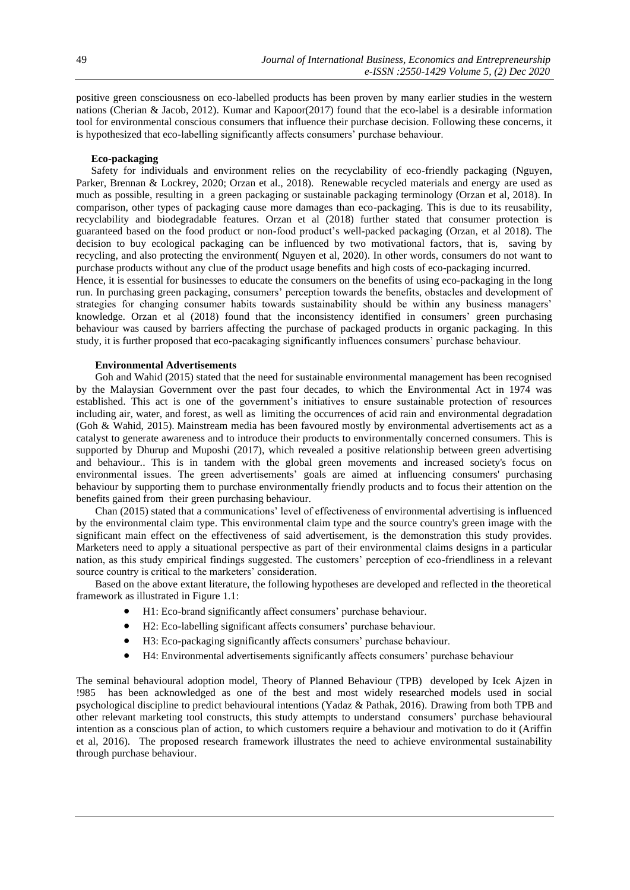positive green consciousness on eco-labelled products has been proven by many earlier studies in the western nations (Cherian & Jacob, 2012). Kumar and Kapoor(2017) found that the eco-label is a desirable information tool for environmental conscious consumers that influence their purchase decision. Following these concerns, it is hypothesized that eco-labelling significantly affects consumers' purchase behaviour.

#### **Eco-packaging**

Safety for individuals and environment relies on the recyclability of eco-friendly packaging (Nguyen, Parker, Brennan & Lockrey, 2020; Orzan et al., 2018). Renewable recycled materials and energy are used as much as possible, resulting in a green packaging or sustainable packaging terminology (Orzan et al, 2018). In comparison, other types of packaging cause more damages than eco-packaging. This is due to its reusability, recyclability and biodegradable features. Orzan et al (2018) further stated that consumer protection is guaranteed based on the food product or non-food product's well-packed packaging (Orzan, et al 2018). The decision to buy ecological packaging can be influenced by two motivational factors, that is, saving by recycling, and also protecting the environment( Nguyen et al, 2020). In other words, consumers do not want to purchase products without any clue of the product usage benefits and high costs of eco-packaging incurred. Hence, it is essential for businesses to educate the consumers on the benefits of using eco-packaging in the long run. In purchasing green packaging, consumers' perception towards the benefits, obstacles and development of

strategies for changing consumer habits towards sustainability should be within any business managers' knowledge. Orzan et al (2018) found that the inconsistency identified in consumers' green purchasing behaviour was caused by barriers affecting the purchase of packaged products in organic packaging. In this study, it is further proposed that eco-pacakaging significantly influences consumers' purchase behaviour.

# **Environmental Advertisements**

Goh and Wahid (2015) stated that the need for sustainable environmental management has been recognised by the Malaysian Government over the past four decades, to which the Environmental Act in 1974 was established. This act is one of the government's initiatives to ensure sustainable protection of resources including air, water, and forest, as well as limiting the occurrences of acid rain and environmental degradation [\(Goh & Wahid, 2015\)](https://www.emerald.com/insight/content/doi/10.1108/YC-12-2018-0898/full/html?casa_token=6N28IGrFPHYAAAAA:zkTmZ48OzFcq1rD9hTKqpRmBB4lL0bsvk_-_1YCIwFK_1xo1WaZxHHO4PBhR7Uz7JUFvXEEi0UajHcUJI0ulSRadllATvtI5uhcAbRkUYUD8sgQ5kW8#ref017). Mainstream media has been favoured mostly by environmental advertisements act as a catalyst to generate awareness and to introduce their products to environmentally concerned consumers. This is supported by Dhurup and Muposhi (2017), which revealed a positive relationship between green advertising and behaviour.. This is in tandem with the global green movements and increased society's focus on environmental issues. The green advertisements' goals are aimed at influencing consumers' purchasing behaviour by supporting them to purchase environmentally friendly products and to focus their attention on the benefits gained from their green purchasing behaviour.

Chan (2015) stated that a communications' level of effectiveness of environmental advertising is influenced by the environmental claim type. This environmental claim type and the source country's green image with the significant main effect on the effectiveness of said advertisement, is the demonstration this study provides. Marketers need to apply a situational perspective as part of their environmental claims designs in a particular nation, as this study empirical findings suggested. The customers' perception of eco-friendliness in a relevant source country is critical to the marketers' consideration.

Based on the above extant literature, the following hypotheses are developed and reflected in the theoretical framework as illustrated in Figure 1.1:

- H1: Eco-brand significantly affect consumers' purchase behaviour.
- H2: Eco-labelling significant affects consumers' purchase behaviour.
- H3: Eco-packaging significantly affects consumers' purchase behaviour.
- H4: Environmental advertisements significantly affects consumers' purchase behaviour

The seminal behavioural adoption model, Theory of Planned Behaviour (TPB) developed by Icek Ajzen in !985 has been acknowledged as one of the best and most widely researched models used in social psychological discipline to predict behavioural intentions (Yadaz & Pathak, 2016). Drawing from both TPB and other relevant marketing tool constructs, this study attempts to understand consumers' purchase behavioural intention as a conscious plan of action, to which customers require a behaviour and motivation to do it (Ariffin et al, 2016). The proposed research framework illustrates the need to achieve environmental sustainability through purchase behaviour.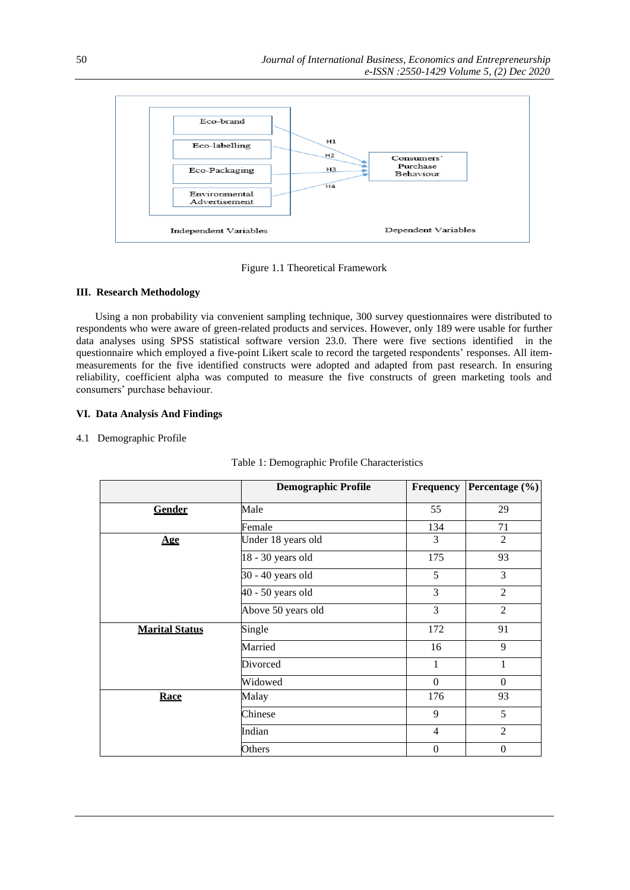

Figure 1.1 Theoretical Framework

# **III. Research Methodology**

Using a non probability via convenient sampling technique, 300 survey questionnaires were distributed to respondents who were aware of green-related products and services. However, only 189 were usable for further data analyses using SPSS statistical software version 23.0. There were five sections identified in the questionnaire which employed a five-point Likert scale to record the targeted respondents' responses. All itemmeasurements for the five identified constructs were adopted and adapted from past research. In ensuring reliability, coefficient alpha was computed to measure the five constructs of green marketing tools and consumers' purchase behaviour.

# **VI. Data Analysis And Findings**

# 4.1Demographic Profile

|                       | <b>Demographic Profile</b> | <b>Frequency</b> | Percentage (%)   |
|-----------------------|----------------------------|------------------|------------------|
| Gender                | Male                       | 55               | 29               |
|                       | Female                     | 134              | 71               |
| Age                   | Under 18 years old         | 3                | $\overline{2}$   |
|                       | 18 - 30 years old          | 175              | 93               |
|                       | 30 - 40 years old          | 5                | 3                |
|                       | 40 - 50 years old          | 3                | 2                |
|                       | Above 50 years old         | 3                | $\overline{2}$   |
| <b>Marital Status</b> | Single                     | 172              | 91               |
|                       | Married                    | 16               | 9                |
|                       | Divorced                   | $\mathbf{1}$     | 1                |
|                       | Widowed                    | $\Omega$         | $\Omega$         |
| Race                  | Malay                      | 176              | 93               |
|                       | Chinese                    | 9                | 5                |
|                       | Indian                     | $\overline{4}$   | $\overline{2}$   |
|                       | Others                     | $\boldsymbol{0}$ | $\boldsymbol{0}$ |

| Table 1: Demographic Profile Characteristics |  |
|----------------------------------------------|--|
|----------------------------------------------|--|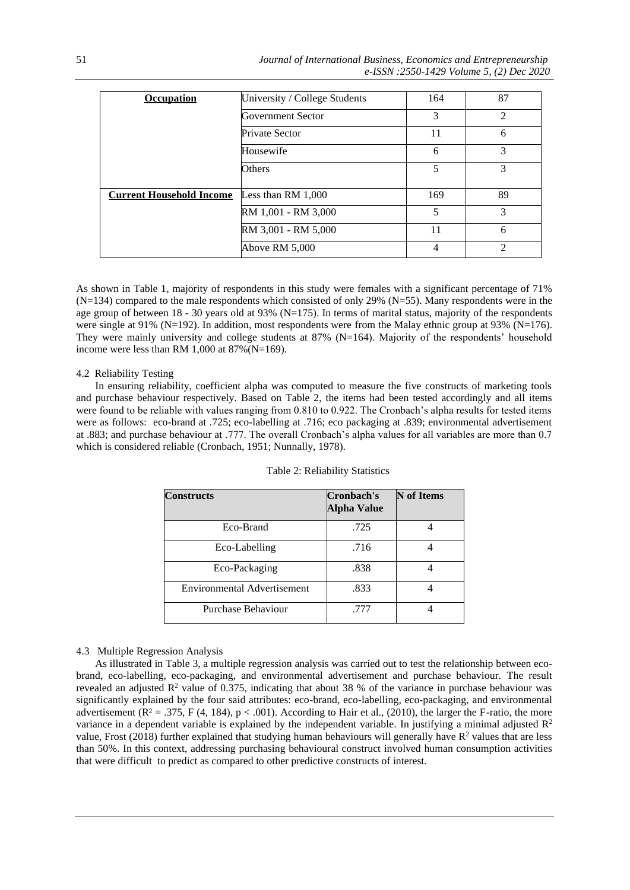| <b>Occupation</b>               | University / College Students | 164 | 87             |
|---------------------------------|-------------------------------|-----|----------------|
|                                 | Government Sector             | 3   | $\overline{2}$ |
|                                 | Private Sector                | 11  | 6              |
|                                 | Housewife                     | 6   | 3              |
|                                 | Others                        | 5   | 3              |
| <b>Current Household Income</b> | Less than $RM$ 1,000          | 169 | 89             |
|                                 | RM 1,001 - RM 3,000           | 5   | 3              |
|                                 | RM 3,001 - RM 5,000           | 11  | 6              |
|                                 | Above RM 5,000                | 4   | $\mathfrak{D}$ |

As shown in Table 1, majority of respondents in this study were females with a significant percentage of 71% (N=134) compared to the male respondents which consisted of only 29% (N=55). Many respondents were in the age group of between 18 - 30 years old at 93% (N=175). In terms of marital status, majority of the respondents were single at 91% (N=192). In addition, most respondents were from the Malay ethnic group at 93% (N=176). They were mainly university and college students at 87% (N=164). Majority of the respondents' household income were less than RM 1,000 at 87%(N=169).

# 4.2 Reliability Testing

In ensuring reliability, coefficient alpha was computed to measure the five constructs of marketing tools and purchase behaviour respectively. Based on Table 2, the items had been tested accordingly and all items were found to be reliable with values ranging from 0.810 to 0.922. The Cronbach's alpha results for tested items were as follows: eco-brand at .725; eco-labelling at .716; eco packaging at .839; environmental advertisement at .883; and purchase behaviour at .777. The overall Cronbach's alpha values for all variables are more than 0.7 which is considered reliable (Cronbach, 1951; Nunnally, 1978).

| Constructs                         | Cronbach's<br><b>Alpha Value</b> | <b>N</b> of Items |
|------------------------------------|----------------------------------|-------------------|
| Eco-Brand                          | .725                             |                   |
| Eco-Labelling                      | .716                             |                   |
| Eco-Packaging                      | .838                             |                   |
| <b>Environmental Advertisement</b> | .833                             |                   |
| Purchase Behaviour                 | .777                             |                   |

Table 2: Reliability Statistics

4.3 Multiple Regression Analysis

As illustrated in Table 3, a multiple regression analysis was carried out to test the relationship between ecobrand, eco-labelling, eco-packaging, and environmental advertisement and purchase behaviour. The result revealed an adjusted  $\mathbb{R}^2$  value of 0.375, indicating that about 38 % of the variance in purchase behaviour was significantly explained by the four said attributes: eco-brand, eco-labelling, eco-packaging, and environmental advertisement  $(R<sup>2</sup> = .375, F (4, 184), p < .001)$ . According to Hair et al., (2010), the larger the F-ratio, the more variance in a dependent variable is explained by the independent variable. In justifying a minimal adjusted  $\mathbb{R}^2$ value, Frost (2018) further explained that studying human behaviours will generally have  $R^2$  values that are less than 50%. In this context, addressing purchasing behavioural construct involved human consumption activities that were difficult to predict as compared to other predictive constructs of interest.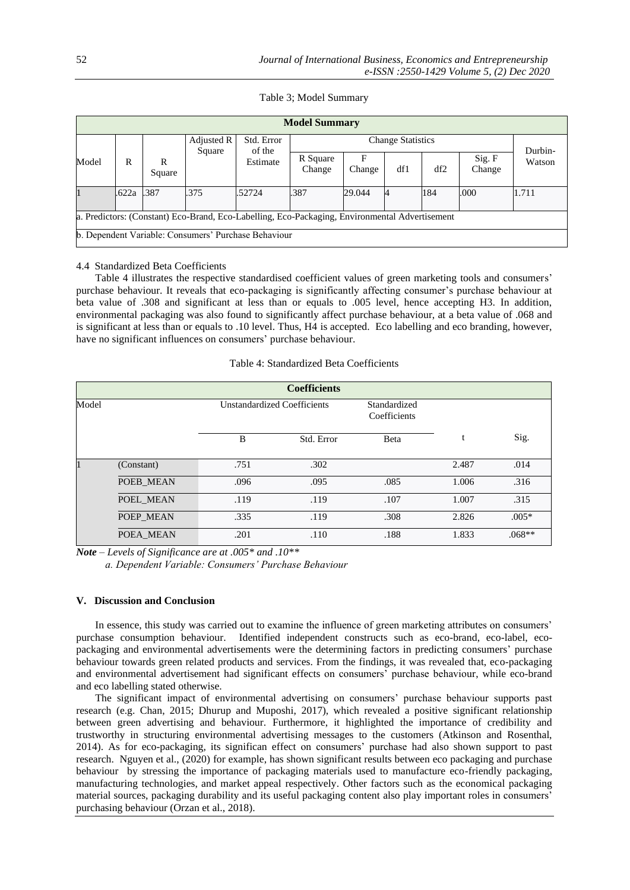|  |  | Table 3; Model Summary |
|--|--|------------------------|
|--|--|------------------------|

| <b>Model Summary</b>                                                                           |        |        |            |                                            |                          |             |     |     |                  |        |
|------------------------------------------------------------------------------------------------|--------|--------|------------|--------------------------------------------|--------------------------|-------------|-----|-----|------------------|--------|
|                                                                                                |        |        | Adjusted R | Std. Error<br>of the<br>Square<br>Estimate | <b>Change Statistics</b> |             |     |     | Durbin-          |        |
| Model                                                                                          | R<br>R | Square |            |                                            | R Square<br>Change       | F<br>Change | df1 | df2 | Sig. F<br>Change | Watson |
|                                                                                                | .622a  | .387   | .375       | .52724                                     | .387                     | 29.044      |     | 184 | .000             | 1.711  |
| a. Predictors: (Constant) Eco-Brand, Eco-Labelling, Eco-Packaging, Environmental Advertisement |        |        |            |                                            |                          |             |     |     |                  |        |
| b. Dependent Variable: Consumers' Purchase Behaviour                                           |        |        |            |                                            |                          |             |     |     |                  |        |

# 4.4 Standardized Beta Coefficients

Table 4 illustrates the respective standardised coefficient values of green marketing tools and consumers' purchase behaviour. It reveals that eco-packaging is significantly affecting consumer's purchase behaviour at beta value of .308 and significant at less than or equals to .005 level, hence accepting H3. In addition, environmental packaging was also found to significantly affect purchase behaviour, at a beta value of .068 and is significant at less than or equals to .10 level. Thus, H4 is accepted. Eco labelling and eco branding, however, have no significant influences on consumers' purchase behaviour.

Table 4: Standardized Beta Coefficients

|       | <b>Coefficients</b> |      |                                                             |      |       |          |  |  |
|-------|---------------------|------|-------------------------------------------------------------|------|-------|----------|--|--|
| Model |                     |      | Unstandardized Coefficients<br>Standardized<br>Coefficients |      |       |          |  |  |
|       |                     | B    | Std. Error                                                  | Beta |       | Sig.     |  |  |
|       | (Constant)          | .751 | .302                                                        |      | 2.487 | .014     |  |  |
|       | POEB MEAN           | .096 | .095                                                        | .085 | 1.006 | .316     |  |  |
|       | POEL MEAN           | .119 | .119                                                        | .107 | 1.007 | .315     |  |  |
|       | POEP MEAN           | .335 | .119                                                        | .308 | 2.826 | $.005*$  |  |  |
|       | POEA MEAN           | .201 | .110                                                        | .188 | 1.833 | $.068**$ |  |  |

*Note – Levels of Significance are at .005\* and .10\*\** 

 *a. Dependent Variable: Consumers' Purchase Behaviour*

# **V. Discussion and Conclusion**

In essence, this study was carried out to examine the influence of green marketing attributes on consumers' purchase consumption behaviour. Identified independent constructs such as eco-brand, eco-label, ecopackaging and environmental advertisements were the determining factors in predicting consumers' purchase behaviour towards green related products and services. From the findings, it was revealed that, eco-packaging and environmental advertisement had significant effects on consumers' purchase behaviour, while eco-brand and eco labelling stated otherwise.

The significant impact of environmental advertising on consumers' purchase behaviour supports past research (e.g. Chan, 2015; Dhurup and Muposhi, 2017), which revealed a positive significant relationship between green advertising and behaviour. Furthermore, it highlighted the importance of credibility and trustworthy in structuring environmental advertising messages to the customers (Atkinson and Rosenthal, 2014). As for eco-packaging, its significan effect on consumers' purchase had also shown support to past research. Nguyen et al., (2020) for example, has shown significant results between eco packaging and purchase behaviour by stressing the importance of packaging materials used to manufacture eco-friendly packaging, manufacturing technologies, and market appeal respectively. Other factors such as the economical packaging material sources, packaging durability and its useful packaging content also play important roles in consumers' purchasing behaviour (Orzan et al., 2018).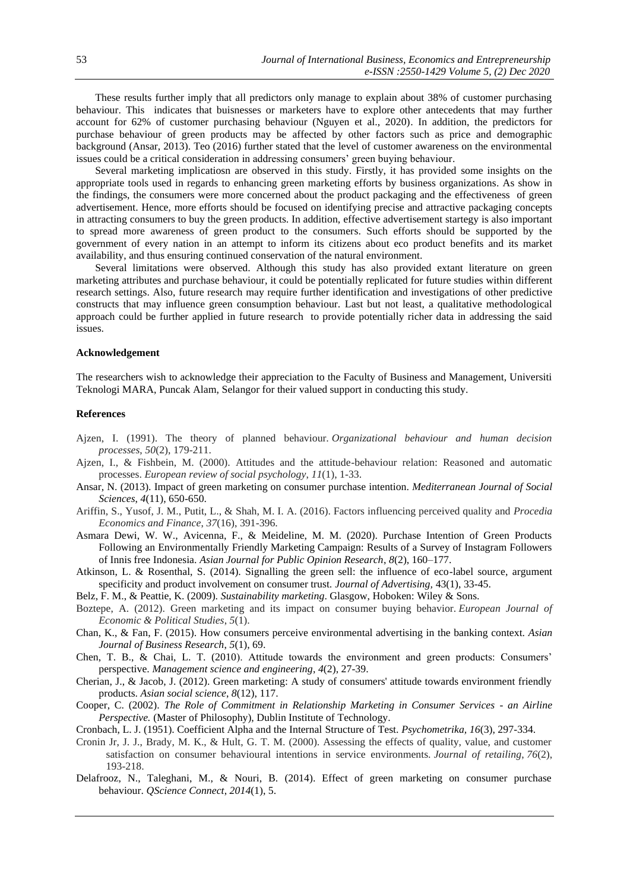These results further imply that all predictors only manage to explain about 38% of customer purchasing behaviour. This indicates that buisnesses or marketers have to explore other antecedents that may further account for 62% of customer purchasing behaviour (Nguyen et al., 2020). In addition, the predictors for purchase behaviour of green products may be affected by other factors such as price and demographic background (Ansar, 2013). Teo (2016) further stated that the level of customer awareness on the environmental issues could be a critical consideration in addressing consumers' green buying behaviour.

Several marketing implicatiosn are observed in this study. Firstly, it has provided some insights on the appropriate tools used in regards to enhancing green marketing efforts by business organizations. As show in the findings, the consumers were more concerned about the product packaging and the effectiveness of green advertisement. Hence, more efforts should be focused on identifying precise and attractive packaging concepts in attracting consumers to buy the green products. In addition, effective advertisement startegy is also important to spread more awareness of green product to the consumers. Such efforts should be supported by the government of every nation in an attempt to inform its citizens about eco product benefits and its market availability, and thus ensuring continued conservation of the natural environment.

Several limitations were observed. Although this study has also provided extant literature on green marketing attributes and purchase behaviour, it could be potentially replicated for future studies within different research settings. Also, future research may require further identification and investigations of other predictive constructs that may influence green consumption behaviour. Last but not least, a qualitative methodological approach could be further applied in future research to provide potentially richer data in addressing the said issues.

# **Acknowledgement**

The researchers wish to acknowledge their appreciation to the Faculty of Business and Management, Universiti Teknologi MARA, Puncak Alam, Selangor for their valued support in conducting this study.

#### **References**

- Ajzen, I. (1991). The theory of planned behaviour. *Organizational behaviour and human decision processes*, *50*(2), 179-211.
- Ajzen, I., & Fishbein, M. (2000). Attitudes and the attitude-behaviour relation: Reasoned and automatic processes. *European review of social psychology*, *11*(1), 1-33.
- Ansar, N. (2013). Impact of green marketing on consumer purchase intention. *Mediterranean Journal of Social Sciences*, *4*(11), 650-650.
- Ariffin, S., Yusof, J. M., Putit, L., & Shah, M. I. A. (2016). Factors influencing perceived quality and *Procedia Economics and Finance*, *37*(16), 391-396.
- Asmara Dewi, W. W., Avicenna, F., & Meideline, M. M. (2020). Purchase Intention of Green Products Following an Environmentally Friendly Marketing Campaign: Results of a Survey of Instagram Followers of Innis free Indonesia. *Asian Journal for Public Opinion Research*, *8*(2), 160–177.
- Atkinson, L. & Rosenthal, S. (2014). Signalling the green sell: the influence of eco-label source, argument specificity and product involvement on consumer trust. *Journal of Advertising,* 43(1), 33-45.
- Belz, F. M., & Peattie, K. (2009). *Sustainability marketing*. Glasgow, Hoboken: Wiley & Sons.
- Boztepe, A. (2012). Green marketing and its impact on consumer buying behavior. *European Journal of Economic & Political Studies*, *5*(1).
- Chan, K., & Fan, F. (2015). How consumers perceive environmental advertising in the banking context. *Asian Journal of Business Research*, *5*(1), 69.
- Chen, T. B., & Chai, L. T. (2010). Attitude towards the environment and green products: Consumers' perspective. *Management science and engineering*, *4*(2), 27-39.
- Cherian, J., & Jacob, J. (2012). Green marketing: A study of consumers' attitude towards environment friendly products. *Asian social science*, *8*(12), 117.
- Cooper, C. (2002). *The Role of Commitment in Relationship Marketing in Consumer Services - an Airline Perspective.* (Master of Philosophy), Dublin Institute of Technology.
- Cronbach, L. J. (1951). Coefficient Alpha and the Internal Structure of Test. *Psychometrika, 16*(3), 297-334.
- Cronin Jr, J. J., Brady, M. K., & Hult, G. T. M. (2000). Assessing the effects of quality, value, and customer satisfaction on consumer behavioural intentions in service environments. *Journal of retailing*, *76*(2), 193-218.
- Delafrooz, N., Taleghani, M., & Nouri, B. (2014). Effect of green marketing on consumer purchase behaviour. *QScience Connect*, *2014*(1), 5.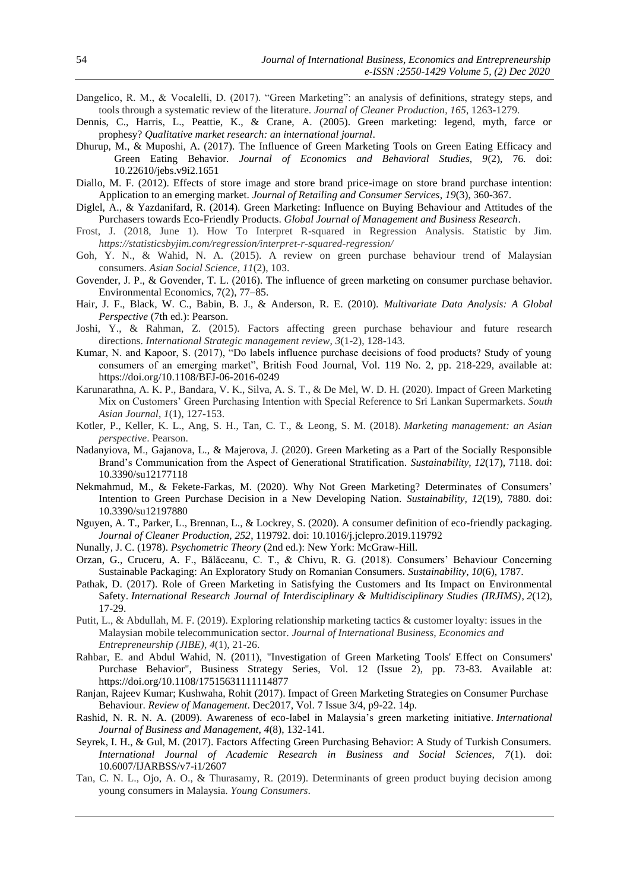- Dangelico, R. M., & Vocalelli, D. (2017). "Green Marketing": an analysis of definitions, strategy steps, and tools through a systematic review of the literature. *Journal of Cleaner Production*, *165*, 1263-1279.
- Dennis, C., Harris, L., Peattie, K., & Crane, A. (2005). Green marketing: legend, myth, farce or prophesy? *Qualitative market research: an international journal*.
- Dhurup, M., & Muposhi, A. (2017). The Influence of Green Marketing Tools on Green Eating Efficacy and Green Eating Behavior. *Journal of Economics and Behavioral Studies, 9*(2), 76. doi: 10.22610/jebs.v9i2.1651
- Diallo, M. F. (2012). Effects of store image and store brand price-image on store brand purchase intention: Application to an emerging market. *Journal of Retailing and Consumer Services*, *19*(3), 360-367.
- Diglel, A., & Yazdanifard, R. (2014). Green Marketing: Influence on Buying Behaviour and Attitudes of the Purchasers towards Eco-Friendly Products. *Global Journal of Management and Business Research*.
- Frost, J. (2018, June 1). How To Interpret R-squared in Regression Analysis. Statistic by Jim. *https://statisticsbyjim.com/regression/interpret-r-squared-regression/*
- Goh, Y. N., & Wahid, N. A. (2015). A review on green purchase behaviour trend of Malaysian consumers. *Asian Social Science*, *11*(2), 103.
- Govender, J. P., & Govender, T. L. (2016). The influence of green marketing on consumer purchase behavior. Environmental Economics, 7(2), 77–85.
- Hair, J. F., Black, W. C., Babin, B. J., & Anderson, R. E. (2010). *Multivariate Data Analysis: A Global Perspective* (7th ed.): Pearson.
- Joshi, Y., & Rahman, Z. (2015). Factors affecting green purchase behaviour and future research directions. *International Strategic management review*, *3*(1-2), 128-143.
- Kumar, N. and Kapoor, S. (2017), "Do labels influence purchase decisions of food products? Study of young consumers of an emerging market", British Food Journal, Vol. 119 No. 2, pp. 218-229, available at: https://doi.org/10.1108/BFJ-06-2016-0249
- Karunarathna, A. K. P., Bandara, V. K., Silva, A. S. T., & De Mel, W. D. H. (2020). Impact of Green Marketing Mix on Customers' Green Purchasing Intention with Special Reference to Sri Lankan Supermarkets. *South Asian Journal*, *1*(1), 127-153.
- Kotler, P., Keller, K. L., Ang, S. H., Tan, C. T., & Leong, S. M. (2018). *Marketing management: an Asian perspective*. Pearson.
- Nadanyiova, M., Gajanova, L., & Majerova, J. (2020). Green Marketing as a Part of the Socially Responsible Brand's Communication from the Aspect of Generational Stratification. *Sustainability, 12*(17), 7118. doi: 10.3390/su12177118
- Nekmahmud, M., & Fekete-Farkas, M. (2020). Why Not Green Marketing? Determinates of Consumers' Intention to Green Purchase Decision in a New Developing Nation. *Sustainability, 12*(19), 7880. doi: 10.3390/su12197880
- Nguyen, A. T., Parker, L., Brennan, L., & Lockrey, S. (2020). A consumer definition of eco-friendly packaging. *Journal of Cleaner Production, 252*, 119792. doi: 10.1016/j.jclepro.2019.119792
- Nunally, J. C. (1978). *Psychometric Theory* (2nd ed.): New York: McGraw-Hill.
- Orzan, G., Cruceru, A. F., Bălăceanu, C. T., & Chivu, R. G. (2018). Consumers' Behaviour Concerning Sustainable Packaging: An Exploratory Study on Romanian Consumers. *Sustainability*, *10*(6), 1787.
- Pathak, D. (2017). Role of Green Marketing in Satisfying the Customers and Its Impact on Environmental Safety. *International Research Journal of Interdisciplinary & Multidisciplinary Studies (IRJIMS)*, *2*(12), 17-29.
- Putit, L., & Abdullah, M. F. (2019). Exploring relationship marketing tactics & customer loyalty: issues in the Malaysian mobile telecommunication sector. *Journal of International Business, Economics and Entrepreneurship (JIBE)*, *4*(1), 21-26.
- Rahbar, E. and Abdul Wahid, N. (2011), "Investigation of Green Marketing Tools' Effect on Consumers' Purchase Behavior", Business Strategy Series, Vol. 12 (Issue 2), pp. 73-83. Available at: <https://doi.org/10.1108/17515631111114877>
- Ranjan, Rajeev Kumar; Kushwaha, Rohit (2017). Impact of Green Marketing Strategies on Consumer Purchase Behaviour. *Review of Management*. Dec2017, Vol. 7 Issue 3/4, p9-22. 14p.
- Rashid, N. R. N. A. (2009). Awareness of eco-label in Malaysia's green marketing initiative. *International Journal of Business and Management*, *4*(8), 132-141.
- Seyrek, I. H., & Gul, M. (2017). Factors Affecting Green Purchasing Behavior: A Study of Turkish Consumers. *International Journal of Academic Research in Business and Social Sciences, 7*(1). doi: 10.6007/IJARBSS/v7-i1/2607
- Tan, C. N. L., Ojo, A. O., & Thurasamy, R. (2019). Determinants of green product buying decision among young consumers in Malaysia. *Young Consumers*.